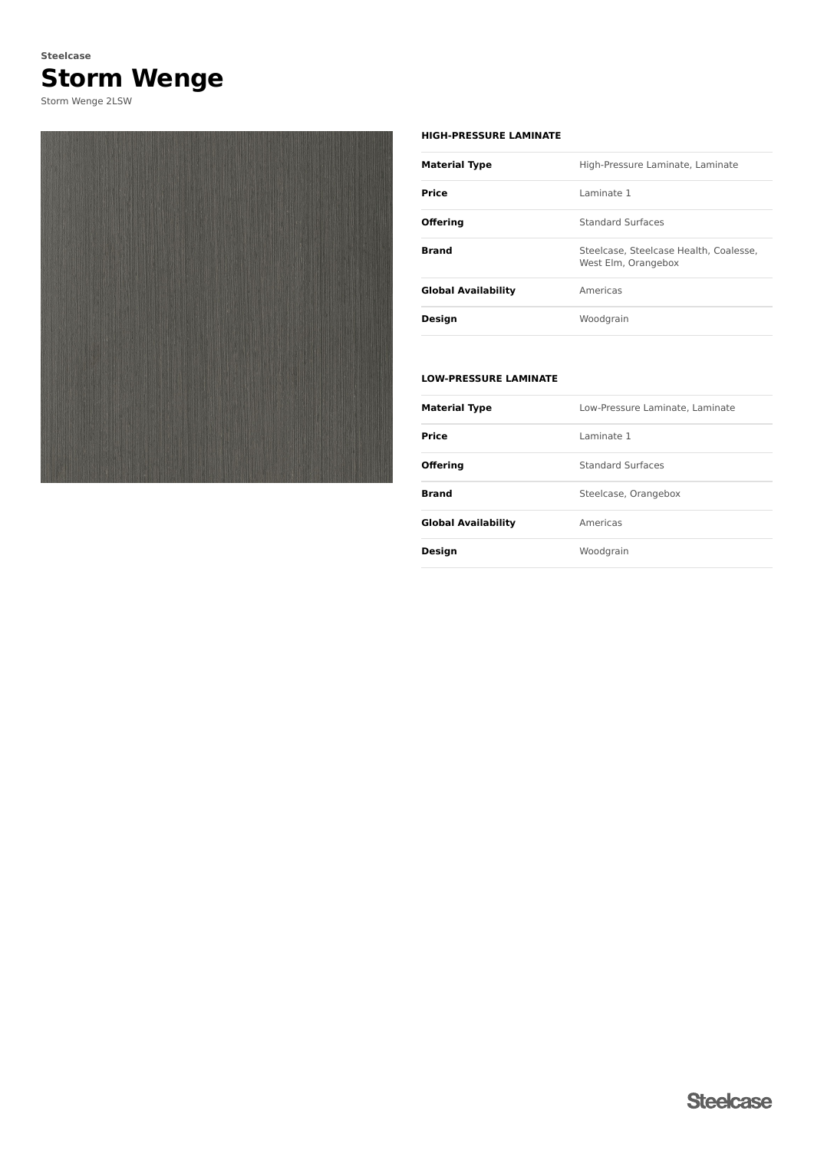# **Storm Wenge Steelcase**

Storm Wenge 2LSW



#### **HIGH-PRESSURE LAMINATE**

| <b>Material Type</b> | High-Pressure Laminate, Laminate                              |
|----------------------|---------------------------------------------------------------|
| Price                | I aminate 1                                                   |
| <b>Offering</b>      | <b>Standard Surfaces</b>                                      |
| <b>Brand</b>         | Steelcase, Steelcase Health, Coalesse,<br>West Elm, Orangebox |
| Global Availability  | Americas                                                      |
| Design               | Woodgrain                                                     |
|                      |                                                               |

### **LOW-PRESSURE LAMINATE**

| <b>Material Type</b>       | Low-Pressure Laminate, Laminate |
|----------------------------|---------------------------------|
| <b>Price</b>               | I aminate 1                     |
| <b>Offering</b>            | Standard Surfaces               |
| <b>Brand</b>               | Steelcase, Orangebox            |
| <b>Global Availability</b> | Americas                        |
| <b>Design</b>              | Woodgrain                       |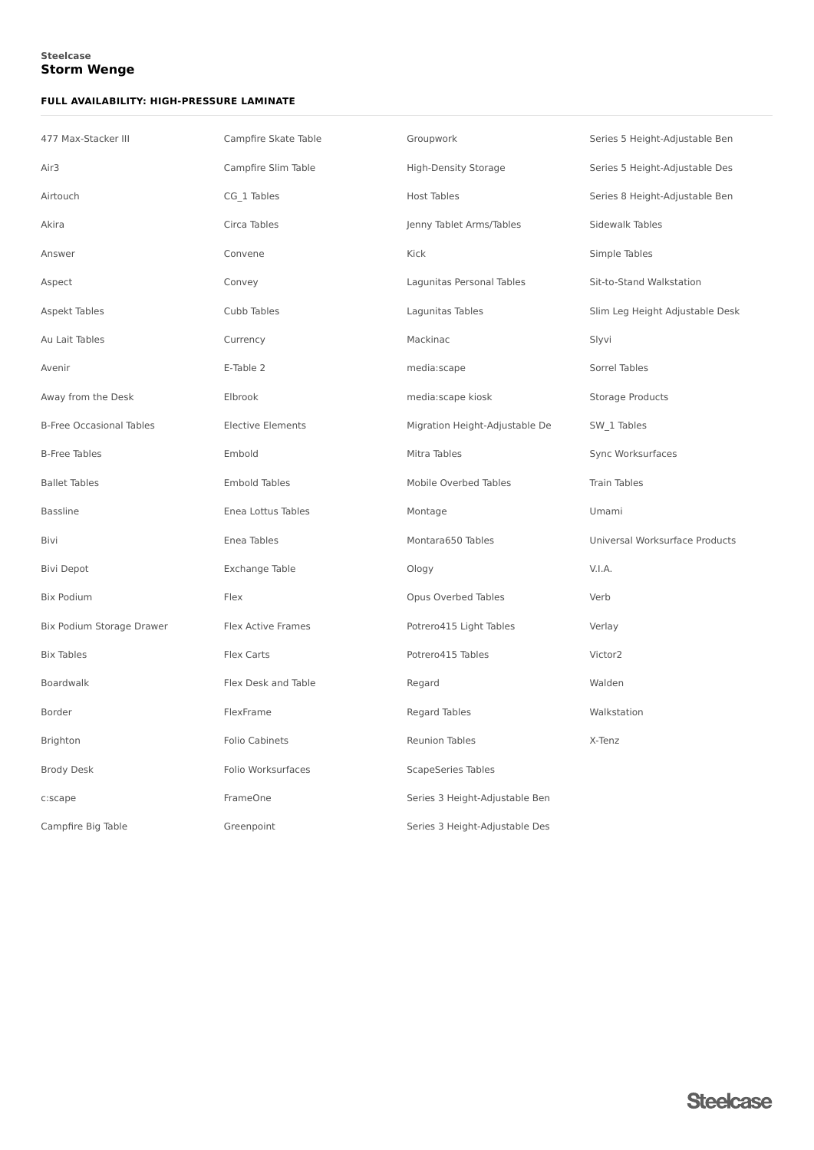### **Storm Wenge Steelcase**

### **FULL AVAILABILITY: HIGH-PRESSURE LAMINATE**

| 477 Max-Stacker III             | Campfire Skate Table      | Groupwork                      | Series 5 Height-Adjustable Ben  |
|---------------------------------|---------------------------|--------------------------------|---------------------------------|
| Air <sub>3</sub>                | Campfire Slim Table       | <b>High-Density Storage</b>    | Series 5 Height-Adjustable Des  |
| Airtouch                        | CG 1 Tables               | <b>Host Tables</b>             | Series 8 Height-Adjustable Ben  |
| Akira                           | Circa Tables              | Jenny Tablet Arms/Tables       | Sidewalk Tables                 |
| Answer                          | Convene                   | Kick                           | Simple Tables                   |
| Aspect                          | Convey                    | Lagunitas Personal Tables      | Sit-to-Stand Walkstation        |
| Aspekt Tables                   | Cubb Tables               | Lagunitas Tables               | Slim Leg Height Adjustable Desk |
| Au Lait Tables                  | Currency                  | Mackinac                       | Slyvi                           |
| Avenir                          | E-Table 2                 | media:scape                    | Sorrel Tables                   |
| Away from the Desk              | Elbrook                   | media:scape kiosk              | Storage Products                |
| <b>B-Free Occasional Tables</b> | <b>Elective Elements</b>  | Migration Height-Adjustable De | SW 1 Tables                     |
| <b>B-Free Tables</b>            | Embold                    | Mitra Tables                   | Sync Worksurfaces               |
| <b>Ballet Tables</b>            | <b>Embold Tables</b>      | Mobile Overbed Tables          | <b>Train Tables</b>             |
| <b>Bassline</b>                 | Enea Lottus Tables        | Montage                        | Umami                           |
| Bivi                            | Enea Tables               | Montara650 Tables              | Universal Worksurface Products  |
| <b>Bivi Depot</b>               | Exchange Table            | Ology                          | V.I.A.                          |
| <b>Bix Podium</b>               | Flex                      | Opus Overbed Tables            | Verb                            |
| Bix Podium Storage Drawer       | <b>Flex Active Frames</b> | Potrero415 Light Tables        | Verlay                          |
| <b>Bix Tables</b>               | Flex Carts                | Potrero415 Tables              | Victor2                         |
| Boardwalk                       | Flex Desk and Table       | Regard                         | Walden                          |
| Border                          | FlexFrame                 | Regard Tables                  | Walkstation                     |
| Brighton                        | <b>Folio Cabinets</b>     | <b>Reunion Tables</b>          | X-Tenz                          |
| <b>Brody Desk</b>               | Folio Worksurfaces        | <b>ScapeSeries Tables</b>      |                                 |
| c:scape                         | FrameOne                  | Series 3 Height-Adjustable Ben |                                 |
| Campfire Big Table              | Greenpoint                | Series 3 Height-Adjustable Des |                                 |